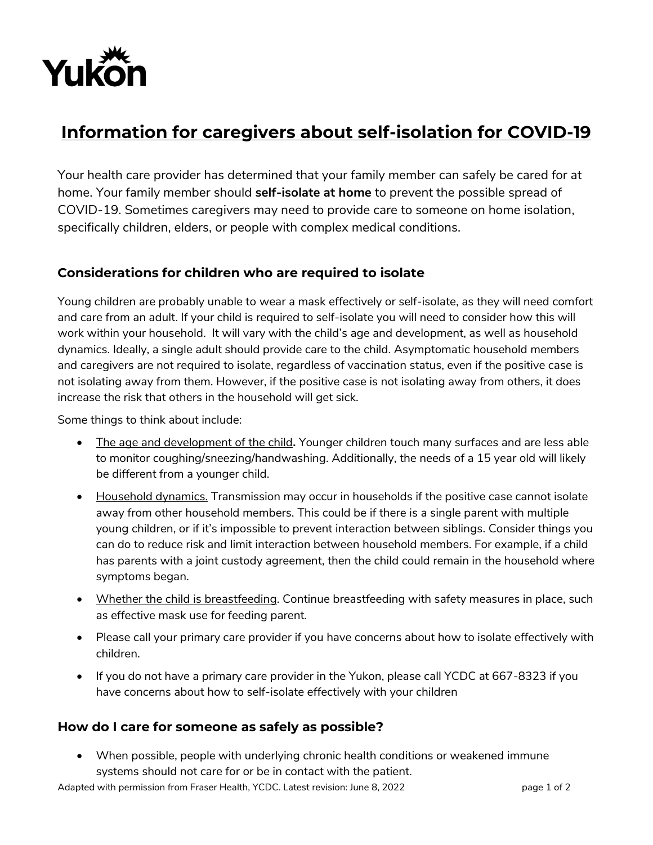

## **Information for caregivers about self-isolation for COVID-19**

Your health care provider has determined that your family member can safely be cared for at home. Your family member should **self-isolate at home** to prevent the possible spread of COVID-19. Sometimes caregivers may need to provide care to someone on home isolation, specifically children, elders, or people with complex medical conditions.

## **Considerations for children who are required to isolate**

Young children are probably unable to wear a mask effectively or self-isolate, as they will need comfort and care from an adult. If your child is required to self-isolate you will need to consider how this will work within your household. It will vary with the child's age and development, as well as household dynamics. Ideally, a single adult should provide care to the child. Asymptomatic household members and caregivers are not required to isolate, regardless of vaccination status, even if the positive case is not isolating away from them. However, if the positive case is not isolating away from others, it does increase the risk that others in the household will get sick.

Some things to think about include:

- The age and development of the child**.** Younger children touch many surfaces and are less able to monitor coughing/sneezing/handwashing. Additionally, the needs of a 15 year old will likely be different from a younger child.
- Household dynamics. Transmission may occur in households if the positive case cannot isolate away from other household members. This could be if there is a single parent with multiple young children, or if it's impossible to prevent interaction between siblings. Consider things you can do to reduce risk and limit interaction between household members. For example, if a child has parents with a joint custody agreement, then the child could remain in the household where symptoms began.
- Whether the child is breastfeeding. Continue breastfeeding with safety measures in place, such as effective mask use for feeding parent.
- Please call your primary care provider if you have concerns about how to isolate effectively with children.
- If you do not have a primary care provider in the Yukon, please call YCDC at 667-8323 if you have concerns about how to self-isolate effectively with your children

## **How do I care for someone as safely as possible?**

 When possible, people with underlying chronic health conditions or weakened immune systems should not care for or be in contact with the patient.

Adapted with permission from Fraser Health, YCDC. Latest revision: June 8, 2022 page 1 of 2